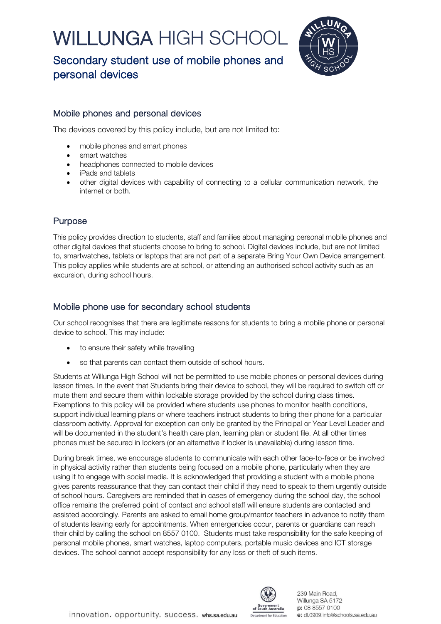# WILLUNGA HIGH SCHO





### Mobile phones and personal devices

The devices covered by this policy include, but are not limited to:

- mobile phones and smart phones
- smart watches
- headphones connected to mobile devices
- iPads and tablets
- other digital devices with capability of connecting to a cellular communication network, the internet or both.

# Purpose

This policy provides direction to students, staff and families about managing personal mobile phones and other digital devices that students choose to bring to school. Digital devices include, but are not limited to, smartwatches, tablets or laptops that are not part of a separate Bring Your Own Device arrangement. This policy applies while students are at school, or attending an authorised school activity such as an excursion, during school hours.

# Mobile phone use for secondary school students

Our school recognises that there are legitimate reasons for students to bring a mobile phone or personal device to school. This may include:

- to ensure their safety while travelling
- so that parents can contact them outside of school hours.

Students at Willunga High School will not be permitted to use mobile phones or personal devices during lesson times. In the event that Students bring their device to school, they will be required to switch off or mute them and secure them within lockable storage provided by the school during class times. Exemptions to this policy will be provided where students use phones to monitor health conditions, support individual learning plans or where teachers instruct students to bring their phone for a particular classroom activity. Approval for exception can only be granted by the Principal or Year Level Leader and will be documented in the student's health care plan, learning plan or student file. At all other times phones must be secured in lockers (or an alternative if locker is unavailable) during lesson time.

During break times, we encourage students to communicate with each other face-to-face or be involved in physical activity rather than students being focused on a mobile phone, particularly when they are using it to engage with social media. It is acknowledged that providing a student with a mobile phone gives parents reassurance that they can contact their child if they need to speak to them urgently outside of school hours. Caregivers are reminded that in cases of emergency during the school day, the school office remains the preferred point of contact and school staff will ensure students are contacted and assisted accordingly. Parents are asked to email home group/mentor teachers in advance to notify them of students leaving early for appointments. When emergencies occur, parents or guardians can reach their child by calling the school on 8557 0100. Students must take responsibility for the safe keeping of personal mobile phones, smart watches, laptop computers, portable music devices and ICT storage devices. The school cannot accept responsibility for any loss or theft of such items.

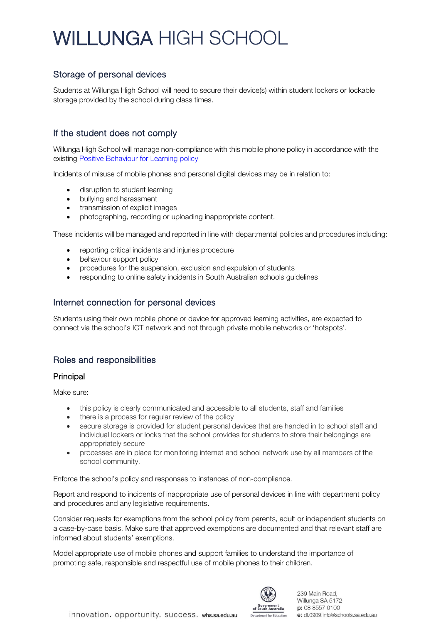# WILLUNGA HIGH SCHOO

### Storage of personal devices

Students at Willunga High School will need to secure their device(s) within student lockers or lockable storage provided by the school during class times.

# If the student does not comply

Willunga High School will manage non-compliance with this mobile phone policy in accordance with the existing [Positive Behaviour for Learning policy](https://www.whs.sa.edu.au/wp-content/uploads/2019/11/Student-Behaviour-Policy.pdf)

Incidents of misuse of mobile phones and personal digital devices may be in relation to:

- disruption to student learning
- bullying and harassment
- transmission of explicit images
- photographing, recording or uploading inappropriate content.

These incidents will be managed and reported in line with departmental policies and procedures including:

- reporting critical incidents and injuries procedure
- behaviour support policy
- procedures for the suspension, exclusion and expulsion of students
- responding to online safety incidents in South Australian schools guidelines

#### Internet connection for personal devices

Students using their own mobile phone or device for approved learning activities, are expected to connect via the school's ICT network and not through private mobile networks or 'hotspots'.

# Roles and responsibilities

#### Principal

Make sure:

- this policy is clearly communicated and accessible to all students, staff and families
- there is a process for regular review of the policy
- secure storage is provided for student personal devices that are handed in to school staff and individual lockers or locks that the school provides for students to store their belongings are appropriately secure
- processes are in place for monitoring internet and school network use by all members of the school community.

Enforce the school's policy and responses to instances of non-compliance.

Report and respond to incidents of inappropriate use of personal devices in line with department policy and procedures and any legislative requirements.

Consider requests for exemptions from the school policy from parents, adult or independent students on a case-by-case basis. Make sure that approved exemptions are documented and that relevant staff are informed about students' exemptions.

Model appropriate use of mobile phones and support families to understand the importance of promoting safe, responsible and respectful use of mobile phones to their children.

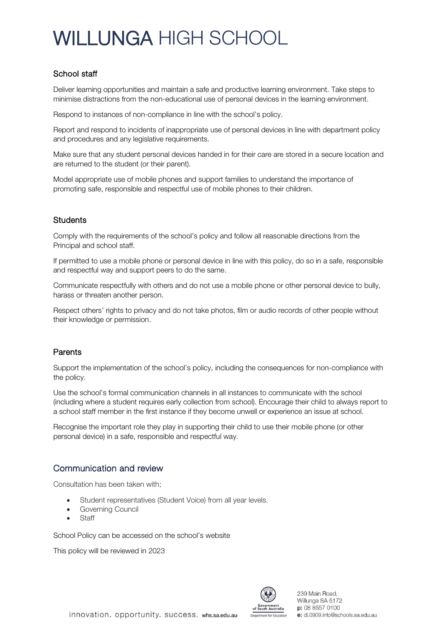# WILLUNGA HIGH SCHOO

### School staff

Deliver learning opportunities and maintain a safe and productive learning environment. Take steps to minimise distractions from the non-educational use of personal devices in the learning environment.

Respond to instances of non-compliance in line with the school's policy.

Report and respond to incidents of inappropriate use of personal devices in line with department policy and procedures and any legislative requirements.

Make sure that any student personal devices handed in for their care are stored in a secure location and are returned to the student (or their parent).

Model appropriate use of mobile phones and support families to understand the importance of promoting safe, responsible and respectful use of mobile phones to their children.

#### **Students**

Comply with the requirements of the school's policy and follow all reasonable directions from the Principal and school staff.

If permitted to use a mobile phone or personal device in line with this policy, do so in a safe, responsible and respectful way and support peers to do the same.

Communicate respectfully with others and do not use a mobile phone or other personal device to bully, harass or threaten another person.

Respect others' rights to privacy and do not take photos, film or audio records of other people without their knowledge or permission.

#### Parents

Support the implementation of the school's policy, including the consequences for non-compliance with the policy.

Use the school's formal communication channels in all instances to communicate with the school (including where a student requires early collection from school). Encourage their child to always report to a school staff member in the first instance if they become unwell or experience an issue at school.

Recognise the important role they play in supporting their child to use their mobile phone (or other personal device) in a safe, responsible and respectful way.

### Communication and review

Consultation has been taken with;

- Student representatives (Student Voice) from all year levels.
- Governing Council
- **Staff**

School Policy can be accessed on the school's website

This policy will be reviewed in 2023



innovation. opportunity. success. whs.sa.edu.au